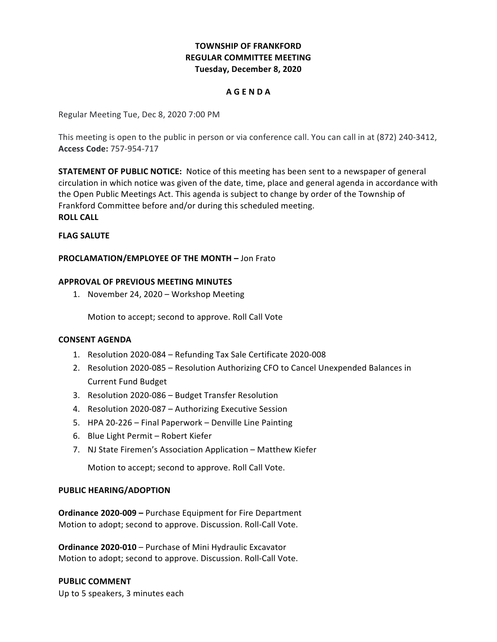# **TOWNSHIP OF FRANKFORD REGULAR COMMITTEE MEETING Tuesday, December 8, 2020**

### **A G E N D A**

Regular Meeting Tue, Dec 8, 2020 7:00 PM

This meeting is open to the public in person or via conference call. You can call in at (872) 240-3412, **Access Code:** 757-954-717

**STATEMENT OF PUBLIC NOTICE:** Notice of this meeting has been sent to a newspaper of general circulation in which notice was given of the date, time, place and general agenda in accordance with the Open Public Meetings Act. This agenda is subject to change by order of the Township of Frankford Committee before and/or during this scheduled meeting. **ROLL CALL**

# **FLAG SALUTE**

## **PROCLAMATION/EMPLOYEE OF THE MONTH –** Jon Frato

## **APPROVAL OF PREVIOUS MEETING MINUTES**

1. November 24, 2020 - Workshop Meeting

Motion to accept; second to approve. Roll Call Vote

## **CONSENT AGENDA**

- 1. Resolution 2020-084 Refunding Tax Sale Certificate 2020-008
- 2. Resolution 2020-085 Resolution Authorizing CFO to Cancel Unexpended Balances in Current Fund Budget
- 3. Resolution 2020-086 Budget Transfer Resolution
- 4. Resolution 2020-087 Authorizing Executive Session
- 5. HPA 20-226 Final Paperwork Denville Line Painting
- 6. Blue Light Permit Robert Kiefer
- 7. NJ State Firemen's Association Application Matthew Kiefer

Motion to accept; second to approve. Roll Call Vote.

### **PUBLIC HEARING/ADOPTION**

**Ordinance 2020-009 - Purchase Equipment for Fire Department**  Motion to adopt; second to approve. Discussion. Roll-Call Vote.

 **Ordinance 2020-010** – Purchase of Mini Hydraulic Excavator Motion to adopt; second to approve. Discussion. Roll-Call Vote.

### **PUBLIC COMMENT**

 Up to 5 speakers, 3 minutes each